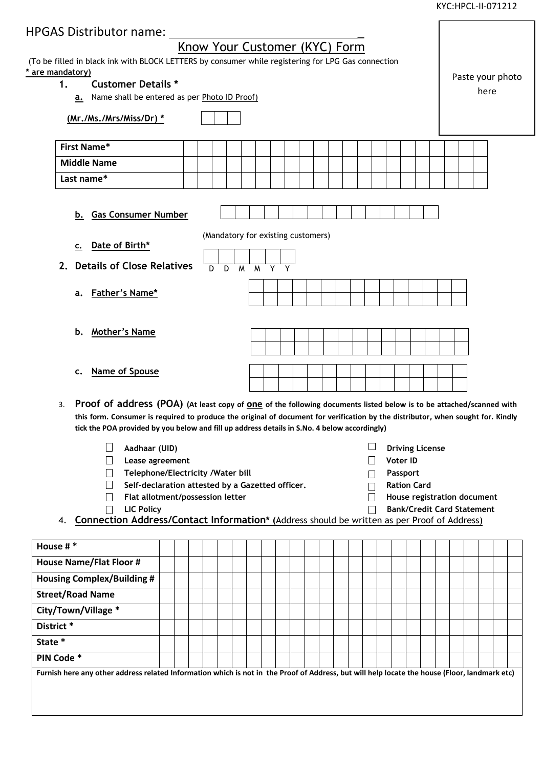KYC:HPCL-II-071212

 $\mathbf{r}$ 

| HPGAS Distributor name: _                                                                                                                                                                                                                                     |  |  |                               |                |                |                |  |  |             |                                    |  |         |                 |                                |  |                                   |  |      |  |  |  |  |  |  |
|---------------------------------------------------------------------------------------------------------------------------------------------------------------------------------------------------------------------------------------------------------------|--|--|-------------------------------|----------------|----------------|----------------|--|--|-------------|------------------------------------|--|---------|-----------------|--------------------------------|--|-----------------------------------|--|------|--|--|--|--|--|--|
|                                                                                                                                                                                                                                                               |  |  | Know Your Customer (KYC) Form |                |                |                |  |  |             |                                    |  |         |                 |                                |  |                                   |  |      |  |  |  |  |  |  |
| (To be filled in black ink with BLOCK LETTERS by consumer while registering for LPG Gas connection                                                                                                                                                            |  |  |                               |                |                |                |  |  |             |                                    |  |         |                 |                                |  |                                   |  |      |  |  |  |  |  |  |
| * are mandatory)<br><b>Customer Details *</b><br>1.                                                                                                                                                                                                           |  |  |                               |                |                |                |  |  |             |                                    |  |         |                 |                                |  | Paste your photo                  |  |      |  |  |  |  |  |  |
| Name shall be entered as per Photo ID Proof)<br>а.                                                                                                                                                                                                            |  |  |                               |                |                |                |  |  |             |                                    |  |         |                 |                                |  |                                   |  | here |  |  |  |  |  |  |
| (Mr./Ms./Mrs/Miss/Dr) *                                                                                                                                                                                                                                       |  |  |                               |                |                |                |  |  |             |                                    |  |         |                 |                                |  |                                   |  |      |  |  |  |  |  |  |
| <b>First Name*</b>                                                                                                                                                                                                                                            |  |  |                               |                |                |                |  |  |             |                                    |  |         |                 |                                |  |                                   |  |      |  |  |  |  |  |  |
| <b>Middle Name</b>                                                                                                                                                                                                                                            |  |  |                               |                |                |                |  |  |             |                                    |  |         |                 |                                |  |                                   |  |      |  |  |  |  |  |  |
| Last name*                                                                                                                                                                                                                                                    |  |  |                               |                |                |                |  |  |             |                                    |  |         |                 |                                |  |                                   |  |      |  |  |  |  |  |  |
|                                                                                                                                                                                                                                                               |  |  |                               |                |                |                |  |  |             |                                    |  |         |                 |                                |  |                                   |  |      |  |  |  |  |  |  |
| <b>Gas Consumer Number</b><br>b.                                                                                                                                                                                                                              |  |  |                               |                |                |                |  |  |             |                                    |  |         |                 |                                |  |                                   |  |      |  |  |  |  |  |  |
|                                                                                                                                                                                                                                                               |  |  |                               |                |                |                |  |  |             | (Mandatory for existing customers) |  |         |                 |                                |  |                                   |  |      |  |  |  |  |  |  |
| Date of Birth*<br>$\underline{\mathsf{c}}$ .                                                                                                                                                                                                                  |  |  |                               |                |                |                |  |  |             |                                    |  |         |                 |                                |  |                                   |  |      |  |  |  |  |  |  |
| <b>Details of Close Relatives</b><br>2.                                                                                                                                                                                                                       |  |  |                               | $\overline{D}$ | $\overline{D}$ | $\overline{M}$ |  |  | $M$ $Y$ $Y$ |                                    |  |         |                 |                                |  |                                   |  |      |  |  |  |  |  |  |
|                                                                                                                                                                                                                                                               |  |  |                               |                |                |                |  |  |             |                                    |  |         |                 |                                |  |                                   |  |      |  |  |  |  |  |  |
| <u>Father's Name*</u><br>a.                                                                                                                                                                                                                                   |  |  |                               |                |                |                |  |  |             |                                    |  |         |                 |                                |  |                                   |  |      |  |  |  |  |  |  |
|                                                                                                                                                                                                                                                               |  |  |                               |                |                |                |  |  |             |                                    |  |         |                 |                                |  |                                   |  |      |  |  |  |  |  |  |
| <b>Mother's Name</b><br>b.                                                                                                                                                                                                                                    |  |  |                               |                |                |                |  |  |             |                                    |  |         |                 |                                |  |                                   |  |      |  |  |  |  |  |  |
|                                                                                                                                                                                                                                                               |  |  |                               |                |                |                |  |  |             |                                    |  |         |                 |                                |  |                                   |  |      |  |  |  |  |  |  |
|                                                                                                                                                                                                                                                               |  |  |                               |                |                |                |  |  |             |                                    |  |         |                 |                                |  |                                   |  |      |  |  |  |  |  |  |
| <b>Name of Spouse</b><br>c.                                                                                                                                                                                                                                   |  |  |                               |                |                |                |  |  |             |                                    |  |         |                 |                                |  |                                   |  |      |  |  |  |  |  |  |
|                                                                                                                                                                                                                                                               |  |  |                               |                |                |                |  |  |             |                                    |  |         |                 |                                |  |                                   |  |      |  |  |  |  |  |  |
| Proof of address (POA) (At least copy of one of the following documents listed below is to be attached/scanned with<br>3.<br>this form. Consumer is required to produce the original of document for verification by the distributor, when sought for. Kindly |  |  |                               |                |                |                |  |  |             |                                    |  |         |                 |                                |  |                                   |  |      |  |  |  |  |  |  |
| tick the POA provided by you below and fill up address details in S.No. 4 below accordingly)                                                                                                                                                                  |  |  |                               |                |                |                |  |  |             |                                    |  |         |                 |                                |  |                                   |  |      |  |  |  |  |  |  |
| Aadhaar (UID)                                                                                                                                                                                                                                                 |  |  |                               |                |                |                |  |  |             |                                    |  |         |                 | <b>Driving License</b>         |  |                                   |  |      |  |  |  |  |  |  |
| Lease agreement                                                                                                                                                                                                                                               |  |  |                               |                |                |                |  |  |             |                                    |  |         | <b>Voter ID</b> |                                |  |                                   |  |      |  |  |  |  |  |  |
| Telephone/Electricity /Water bill<br>Self-declaration attested by a Gazetted officer.                                                                                                                                                                         |  |  |                               |                |                |                |  |  |             |                                    |  |         |                 | Passport<br><b>Ration Card</b> |  |                                   |  |      |  |  |  |  |  |  |
| Flat allotment/possession letter                                                                                                                                                                                                                              |  |  |                               |                |                |                |  |  |             |                                    |  | $\perp$ |                 |                                |  | House registration document       |  |      |  |  |  |  |  |  |
| <b>LIC Policy</b><br>$\perp$                                                                                                                                                                                                                                  |  |  |                               |                |                |                |  |  |             |                                    |  | $\perp$ |                 |                                |  | <b>Bank/Credit Card Statement</b> |  |      |  |  |  |  |  |  |
| Connection Address/Contact Information* (Address should be written as per Proof of Address)<br>4.                                                                                                                                                             |  |  |                               |                |                |                |  |  |             |                                    |  |         |                 |                                |  |                                   |  |      |  |  |  |  |  |  |
| House $# *$                                                                                                                                                                                                                                                   |  |  |                               |                |                |                |  |  |             |                                    |  |         |                 |                                |  |                                   |  |      |  |  |  |  |  |  |
| <b>House Name/Flat Floor #</b>                                                                                                                                                                                                                                |  |  |                               |                |                |                |  |  |             |                                    |  |         |                 |                                |  |                                   |  |      |  |  |  |  |  |  |
| <b>Housing Complex/Building #</b>                                                                                                                                                                                                                             |  |  |                               |                |                |                |  |  |             |                                    |  |         |                 |                                |  |                                   |  |      |  |  |  |  |  |  |
| <b>Street/Road Name</b>                                                                                                                                                                                                                                       |  |  |                               |                |                |                |  |  |             |                                    |  |         |                 |                                |  |                                   |  |      |  |  |  |  |  |  |
| City/Town/Village *                                                                                                                                                                                                                                           |  |  |                               |                |                |                |  |  |             |                                    |  |         |                 |                                |  |                                   |  |      |  |  |  |  |  |  |
| District*                                                                                                                                                                                                                                                     |  |  |                               |                |                |                |  |  |             |                                    |  |         |                 |                                |  |                                   |  |      |  |  |  |  |  |  |
| State *                                                                                                                                                                                                                                                       |  |  |                               |                |                |                |  |  |             |                                    |  |         |                 |                                |  |                                   |  |      |  |  |  |  |  |  |
| PIN Code *                                                                                                                                                                                                                                                    |  |  |                               |                |                |                |  |  |             |                                    |  |         |                 |                                |  |                                   |  |      |  |  |  |  |  |  |
| Furnish here any other address related Information which is not in the Proof of Address, but will help locate the house (Floor, landmark etc)                                                                                                                 |  |  |                               |                |                |                |  |  |             |                                    |  |         |                 |                                |  |                                   |  |      |  |  |  |  |  |  |